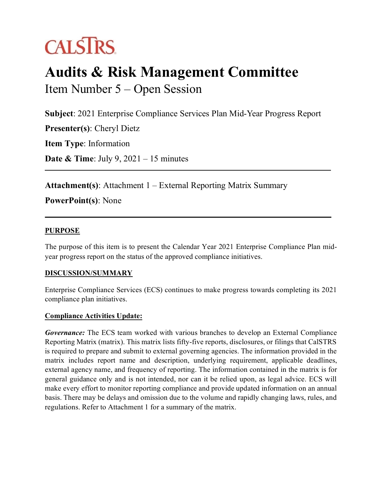# **CALSTRS**

## **Audits & Risk Management Committee** Item Number 5 – Open Session

**Subject**: 2021 Enterprise Compliance Services Plan Mid-Year Progress Report

**Presenter(s)**: Cheryl Dietz

**Item Type**: Information

**Date & Time**: July 9, 2021 – 15 minutes

**Attachment(s)**: Attachment 1 – External Reporting Matrix Summary

**PowerPoint(s)**: None

#### **PURPOSE**

The purpose of this item is to present the Calendar Year 2021 Enterprise Compliance Plan midyear progress report on the status of the approved compliance initiatives.

#### **DISCUSSION/SUMMARY**

Enterprise Compliance Services (ECS) continues to make progress towards completing its 2021 compliance plan initiatives.

#### **Compliance Activities Update:**

*Governance:* The ECS team worked with various branches to develop an External Compliance Reporting Matrix (matrix). This matrix lists fifty-five reports, disclosures, or filings that CalSTRS is required to prepare and submit to external governing agencies. The information provided in the matrix includes report name and description, underlying requirement, applicable deadlines, external agency name, and frequency of reporting. The information contained in the matrix is for general guidance only and is not intended, nor can it be relied upon, as legal advice. ECS will make every effort to monitor reporting compliance and provide updated information on an annual basis. There may be delays and omission due to the volume and rapidly changing laws, rules, and regulations. Refer to Attachment 1 for a summary of the matrix.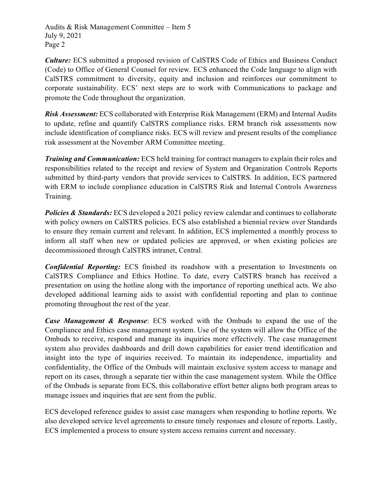Audits & Risk Management Committee – Item 5 July 9, 2021 Page 2

*Culture:* ECS submitted a proposed revision of CalSTRS Code of Ethics and Business Conduct (Code) to Office of General Counsel for review. ECS enhanced the Code language to align with CalSTRS commitment to diversity, equity and inclusion and reinforces our commitment to corporate sustainability. ECS' next steps are to work with Communications to package and promote the Code throughout the organization.

*Risk Assessment:* ECS collaborated with Enterprise Risk Management (ERM) and Internal Audits to update, refine and quantify CalSTRS compliance risks. ERM branch risk assessments now include identification of compliance risks. ECS will review and present results of the compliance risk assessment at the November ARM Committee meeting.

*Training and Communication:* ECS held training for contract managers to explain their roles and responsibilities related to the receipt and review of System and Organization Controls Reports submitted by third-party vendors that provide services to CalSTRS. In addition, ECS partnered with ERM to include compliance education in CalSTRS Risk and Internal Controls Awareness Training.

**Policies & Standards:** ECS developed a 2021 policy review calendar and continues to collaborate with policy owners on CalSTRS policies. ECS also established a biennial review over Standards to ensure they remain current and relevant. In addition, ECS implemented a monthly process to inform all staff when new or updated policies are approved, or when existing policies are decommissioned through CalSTRS intranet, Central.

*Confidential Reporting:* ECS finished its roadshow with a presentation to Investments on CalSTRS Compliance and Ethics Hotline. To date, every CalSTRS branch has received a presentation on using the hotline along with the importance of reporting unethical acts. We also developed additional learning aids to assist with confidential reporting and plan to continue promoting throughout the rest of the year.

*Case Management & Response*: ECS worked with the Ombuds to expand the use of the Compliance and Ethics case management system. Use of the system will allow the Office of the Ombuds to receive, respond and manage its inquiries more effectively. The case management system also provides dashboards and drill down capabilities for easier trend identification and insight into the type of inquiries received. To maintain its independence, impartiality and confidentiality, the Office of the Ombuds will maintain exclusive system access to manage and report on its cases, through a separate tier within the case management system. While the Office of the Ombuds is separate from ECS, this collaborative effort better aligns both program areas to manage issues and inquiries that are sent from the public.

ECS developed reference guides to assist case managers when responding to hotline reports. We also developed service level agreements to ensure timely responses and closure of reports. Lastly, ECS implemented a process to ensure system access remains current and necessary.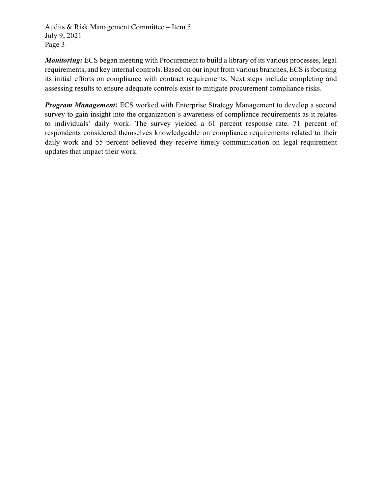Audits & Risk Management Committee – Item 5 July 9, 2021 Page 3

*Monitoring:* ECS began meeting with Procurement to build a library of its various processes, legal requirements, and key internal controls. Based on our input from various branches, ECS is focusing its initial efforts on compliance with contract requirements. Next steps include completing and assessing results to ensure adequate controls exist to mitigate procurement compliance risks.

*Program Management***:** ECS worked with Enterprise Strategy Management to develop a second survey to gain insight into the organization's awareness of compliance requirements as it relates to individuals' daily work. The survey yielded a 61 percent response rate. 71 percent of respondents considered themselves knowledgeable on compliance requirements related to their daily work and 55 percent believed they receive timely communication on legal requirement updates that impact their work.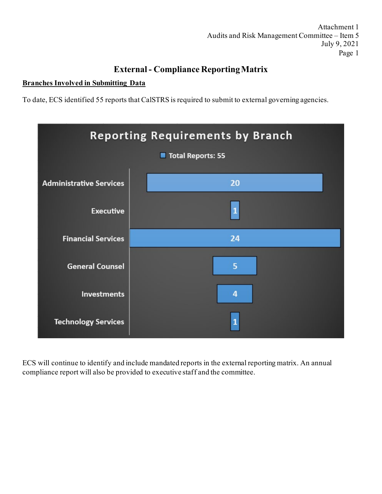Attachment 1 Audits and Risk Management Committee – Item 5 July 9, 2021 Page 1

### **External - Compliance Reporting Matrix**

#### **Branches Involved in Submitting Data**

To date, ECS identified 55 reports that CalSTRS is required to submit to external governing agencies.



ECS will continue to identify and include mandated reports in the external reporting matrix. An annual compliance report will also be provided to executive staff and the committee.